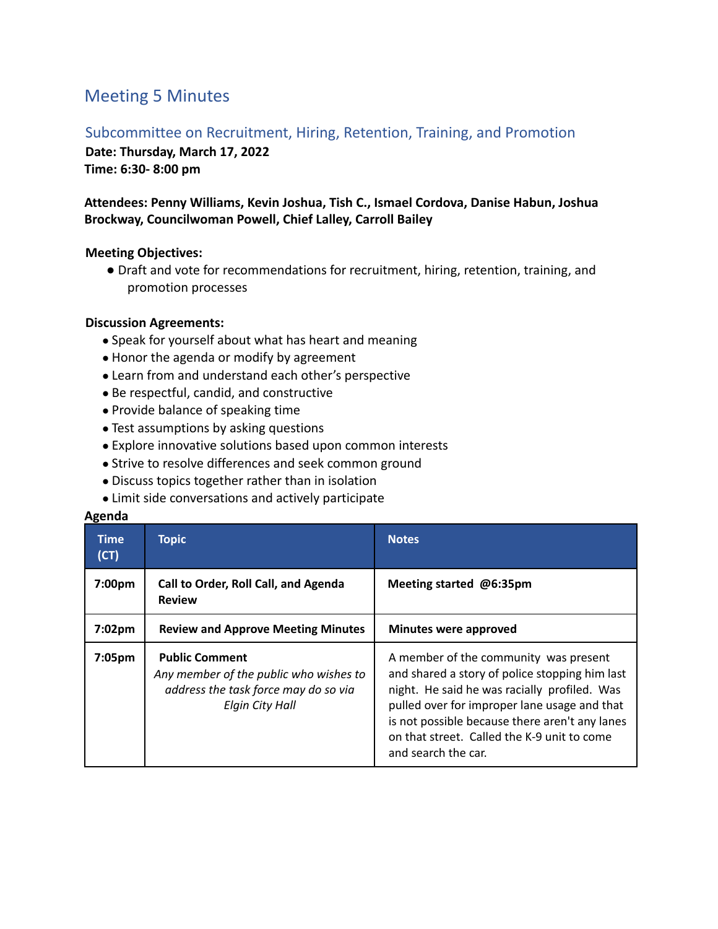# Meeting 5 Minutes

## Subcommittee on Recruitment, Hiring, Retention, Training, and Promotion

**Date: Thursday, March 17, 2022**

**Time: 6:30- 8:00 pm**

## **Attendees: Penny Williams, Kevin Joshua, Tish C., Ismael Cordova, Danise Habun, Joshua Brockway, Councilwoman Powell, Chief Lalley, Carroll Bailey**

### **Meeting Objectives:**

● Draft and vote for recommendations for recruitment, hiring, retention, training, and promotion processes

### **Discussion Agreements:**

- Speak for yourself about what has heart and meaning
- Honor the agenda or modify by agreement
- Learn from and understand each other's perspective
- Be respectful, candid, and constructive
- Provide balance of speaking time
- Test assumptions by asking questions
- Explore innovative solutions based upon common interests
- Strive to resolve differences and seek common ground
- Discuss topics together rather than in isolation
- Limit side conversations and actively participate

#### **Agenda**

| <b>Time</b><br>(CT) | <b>Topic</b>                                                                                                               | <b>Notes</b>                                                                                                                                                                                                                                                                                                    |
|---------------------|----------------------------------------------------------------------------------------------------------------------------|-----------------------------------------------------------------------------------------------------------------------------------------------------------------------------------------------------------------------------------------------------------------------------------------------------------------|
| 7:00pm              | Call to Order, Roll Call, and Agenda<br><b>Review</b>                                                                      | Meeting started @6:35pm                                                                                                                                                                                                                                                                                         |
| 7:02 <sub>pm</sub>  | <b>Review and Approve Meeting Minutes</b>                                                                                  | Minutes were approved                                                                                                                                                                                                                                                                                           |
| 7:05 <sub>pm</sub>  | <b>Public Comment</b><br>Any member of the public who wishes to<br>address the task force may do so via<br>Elgin City Hall | A member of the community was present<br>and shared a story of police stopping him last<br>night. He said he was racially profiled. Was<br>pulled over for improper lane usage and that<br>is not possible because there aren't any lanes<br>on that street. Called the K-9 unit to come<br>and search the car. |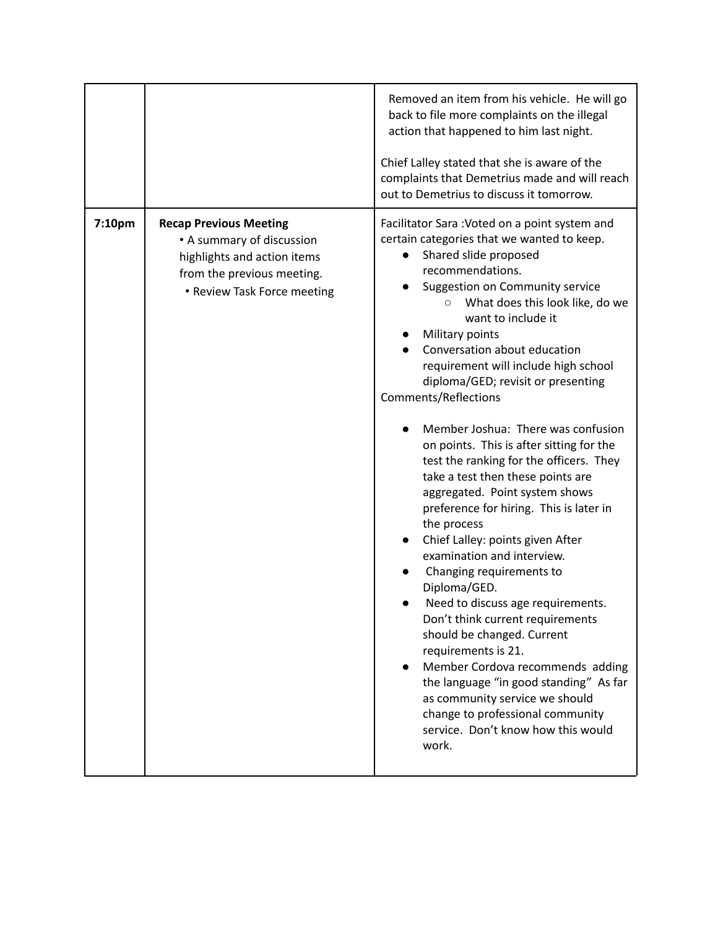|        |                                                                                                                                                        | Removed an item from his vehicle. He will go<br>back to file more complaints on the illegal<br>action that happened to him last night.<br>Chief Lalley stated that she is aware of the<br>complaints that Demetrius made and will reach<br>out to Demetrius to discuss it tomorrow.                                                                                                                                                                                                                                                                                                                                                                                                                                                                                                                                                                                                                                                                                                                                                                                                                                                       |
|--------|--------------------------------------------------------------------------------------------------------------------------------------------------------|-------------------------------------------------------------------------------------------------------------------------------------------------------------------------------------------------------------------------------------------------------------------------------------------------------------------------------------------------------------------------------------------------------------------------------------------------------------------------------------------------------------------------------------------------------------------------------------------------------------------------------------------------------------------------------------------------------------------------------------------------------------------------------------------------------------------------------------------------------------------------------------------------------------------------------------------------------------------------------------------------------------------------------------------------------------------------------------------------------------------------------------------|
| 7:10pm | <b>Recap Previous Meeting</b><br>• A summary of discussion<br>highlights and action items<br>from the previous meeting.<br>• Review Task Force meeting | Facilitator Sara: Voted on a point system and<br>certain categories that we wanted to keep.<br>Shared slide proposed<br>$\bullet$<br>recommendations.<br>Suggestion on Community service<br>What does this look like, do we<br>$\circ$<br>want to include it<br>Military points<br>Conversation about education<br>requirement will include high school<br>diploma/GED; revisit or presenting<br><b>Comments/Reflections</b><br>Member Joshua: There was confusion<br>on points. This is after sitting for the<br>test the ranking for the officers. They<br>take a test then these points are<br>aggregated. Point system shows<br>preference for hiring. This is later in<br>the process<br>Chief Lalley: points given After<br>examination and interview.<br>Changing requirements to<br>Diploma/GED.<br>Need to discuss age requirements.<br>Don't think current requirements<br>should be changed. Current<br>requirements is 21.<br>Member Cordova recommends adding<br>the language "in good standing" As far<br>as community service we should<br>change to professional community<br>service. Don't know how this would<br>work. |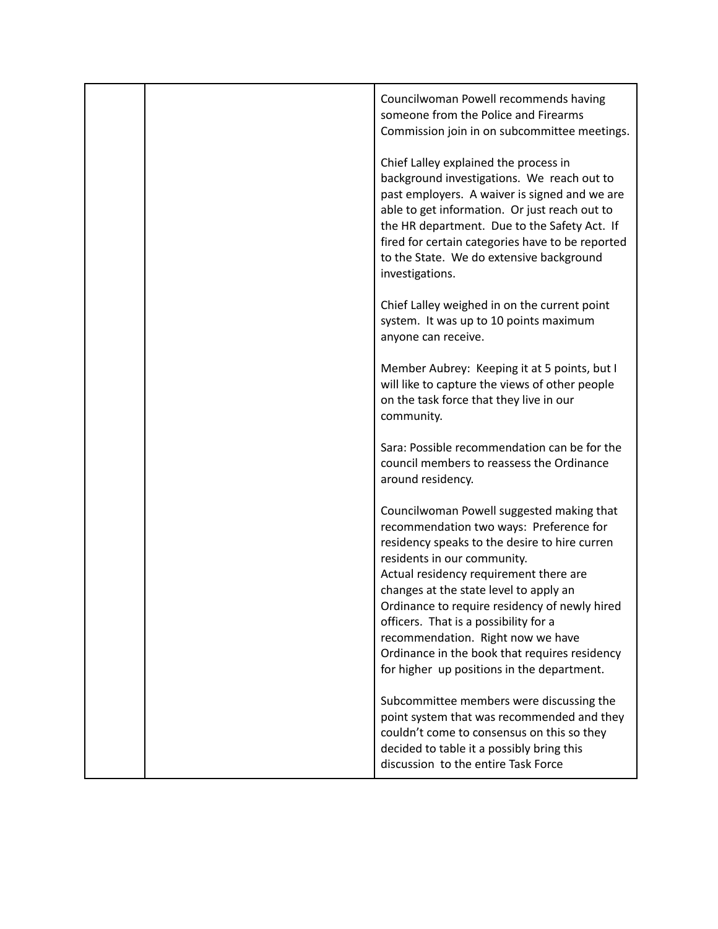|  | Councilwoman Powell recommends having<br>someone from the Police and Firearms<br>Commission join in on subcommittee meetings.                                                                                                                                                                                                                                                                                                                                                          |
|--|----------------------------------------------------------------------------------------------------------------------------------------------------------------------------------------------------------------------------------------------------------------------------------------------------------------------------------------------------------------------------------------------------------------------------------------------------------------------------------------|
|  | Chief Lalley explained the process in<br>background investigations. We reach out to<br>past employers. A waiver is signed and we are<br>able to get information. Or just reach out to<br>the HR department. Due to the Safety Act. If<br>fired for certain categories have to be reported<br>to the State. We do extensive background<br>investigations.                                                                                                                               |
|  | Chief Lalley weighed in on the current point<br>system. It was up to 10 points maximum<br>anyone can receive.                                                                                                                                                                                                                                                                                                                                                                          |
|  | Member Aubrey: Keeping it at 5 points, but I<br>will like to capture the views of other people<br>on the task force that they live in our<br>community.                                                                                                                                                                                                                                                                                                                                |
|  | Sara: Possible recommendation can be for the<br>council members to reassess the Ordinance<br>around residency.                                                                                                                                                                                                                                                                                                                                                                         |
|  | Councilwoman Powell suggested making that<br>recommendation two ways: Preference for<br>residency speaks to the desire to hire curren<br>residents in our community.<br>Actual residency requirement there are<br>changes at the state level to apply an<br>Ordinance to require residency of newly hired<br>officers. That is a possibility for a<br>recommendation. Right now we have<br>Ordinance in the book that requires residency<br>for higher up positions in the department. |
|  | Subcommittee members were discussing the<br>point system that was recommended and they<br>couldn't come to consensus on this so they<br>decided to table it a possibly bring this<br>discussion to the entire Task Force                                                                                                                                                                                                                                                               |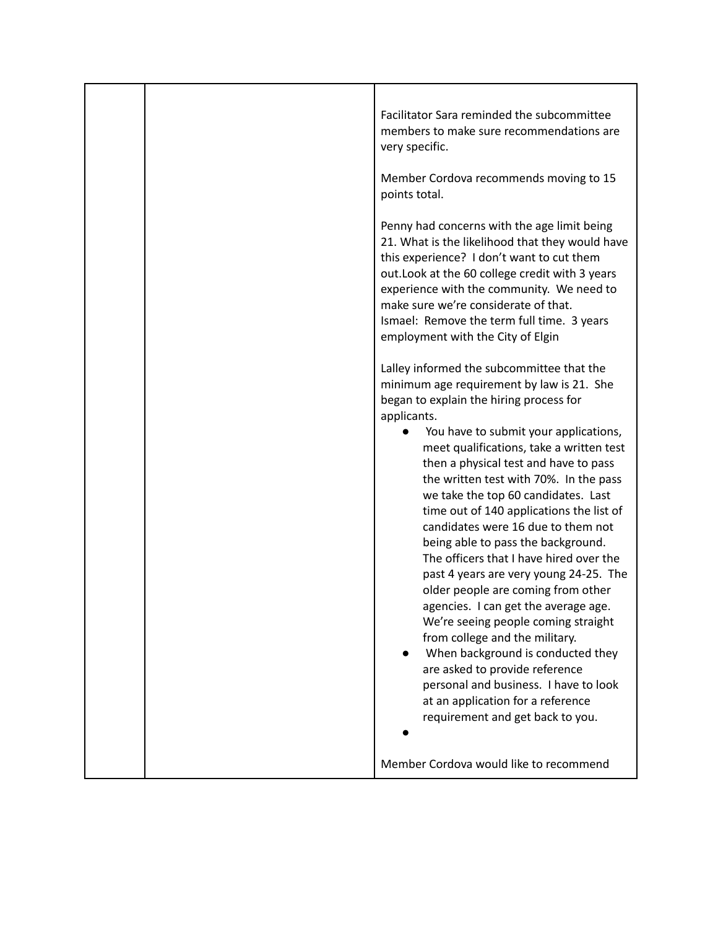| Facilitator Sara reminded the subcommittee<br>members to make sure recommendations are<br>very specific.                                                                                                                                                                                                                                                                                                                                                                                                                                                                                                                                                                                                                                                                                                                                                                                                                    |
|-----------------------------------------------------------------------------------------------------------------------------------------------------------------------------------------------------------------------------------------------------------------------------------------------------------------------------------------------------------------------------------------------------------------------------------------------------------------------------------------------------------------------------------------------------------------------------------------------------------------------------------------------------------------------------------------------------------------------------------------------------------------------------------------------------------------------------------------------------------------------------------------------------------------------------|
| Member Cordova recommends moving to 15<br>points total.                                                                                                                                                                                                                                                                                                                                                                                                                                                                                                                                                                                                                                                                                                                                                                                                                                                                     |
| Penny had concerns with the age limit being<br>21. What is the likelihood that they would have<br>this experience? I don't want to cut them<br>out. Look at the 60 college credit with 3 years<br>experience with the community. We need to<br>make sure we're considerate of that.<br>Ismael: Remove the term full time. 3 years<br>employment with the City of Elgin                                                                                                                                                                                                                                                                                                                                                                                                                                                                                                                                                      |
| Lalley informed the subcommittee that the<br>minimum age requirement by law is 21. She<br>began to explain the hiring process for<br>applicants.<br>You have to submit your applications,<br>meet qualifications, take a written test<br>then a physical test and have to pass<br>the written test with 70%. In the pass<br>we take the top 60 candidates. Last<br>time out of 140 applications the list of<br>candidates were 16 due to them not<br>being able to pass the background.<br>The officers that I have hired over the<br>past 4 years are very young 24-25. The<br>older people are coming from other<br>agencies. I can get the average age<br>We're seeing people coming straight<br>from college and the military.<br>When background is conducted they<br>are asked to provide reference<br>personal and business. I have to look<br>at an application for a reference<br>requirement and get back to you. |
| Member Cordova would like to recommend                                                                                                                                                                                                                                                                                                                                                                                                                                                                                                                                                                                                                                                                                                                                                                                                                                                                                      |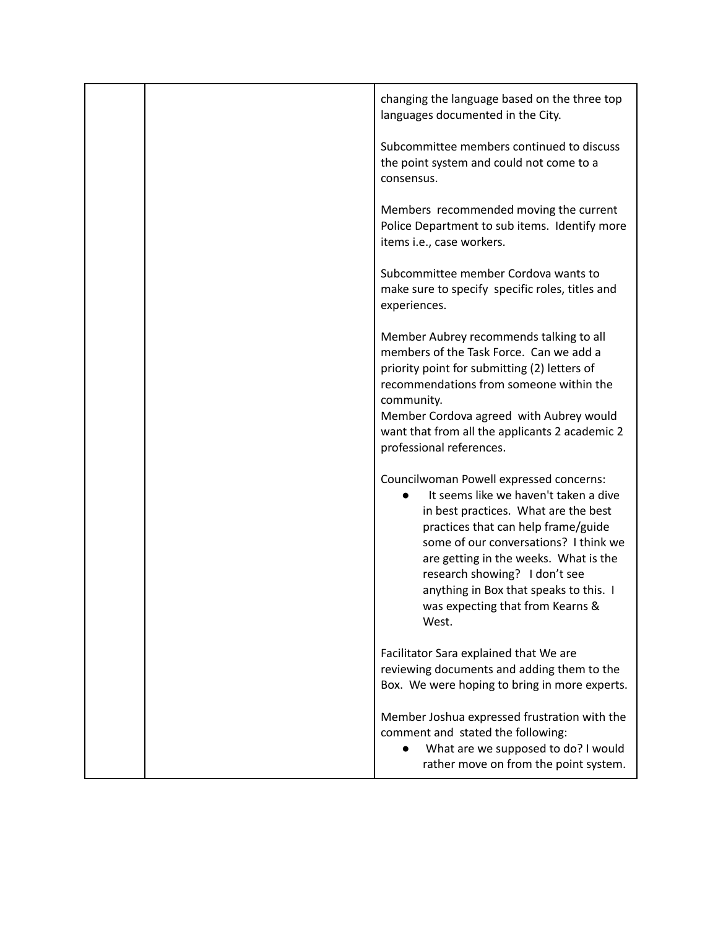|  | changing the language based on the three top<br>languages documented in the City.                                                                                                                                                                                                                                                                                         |
|--|---------------------------------------------------------------------------------------------------------------------------------------------------------------------------------------------------------------------------------------------------------------------------------------------------------------------------------------------------------------------------|
|  | Subcommittee members continued to discuss<br>the point system and could not come to a<br>consensus.                                                                                                                                                                                                                                                                       |
|  | Members recommended moving the current<br>Police Department to sub items. Identify more<br>items i.e., case workers.                                                                                                                                                                                                                                                      |
|  | Subcommittee member Cordova wants to<br>make sure to specify specific roles, titles and<br>experiences.                                                                                                                                                                                                                                                                   |
|  | Member Aubrey recommends talking to all<br>members of the Task Force. Can we add a<br>priority point for submitting (2) letters of<br>recommendations from someone within the<br>community.<br>Member Cordova agreed with Aubrey would<br>want that from all the applicants 2 academic 2<br>professional references.                                                      |
|  | Councilwoman Powell expressed concerns:<br>It seems like we haven't taken a dive<br>in best practices. What are the best<br>practices that can help frame/guide<br>some of our conversations? I think we<br>are getting in the weeks. What is the<br>research showing? I don't see<br>anything in Box that speaks to this. I<br>was expecting that from Kearns &<br>West. |
|  | Facilitator Sara explained that We are<br>reviewing documents and adding them to the<br>Box. We were hoping to bring in more experts.                                                                                                                                                                                                                                     |
|  | Member Joshua expressed frustration with the<br>comment and stated the following:<br>What are we supposed to do? I would<br>$\bullet$<br>rather move on from the point system.                                                                                                                                                                                            |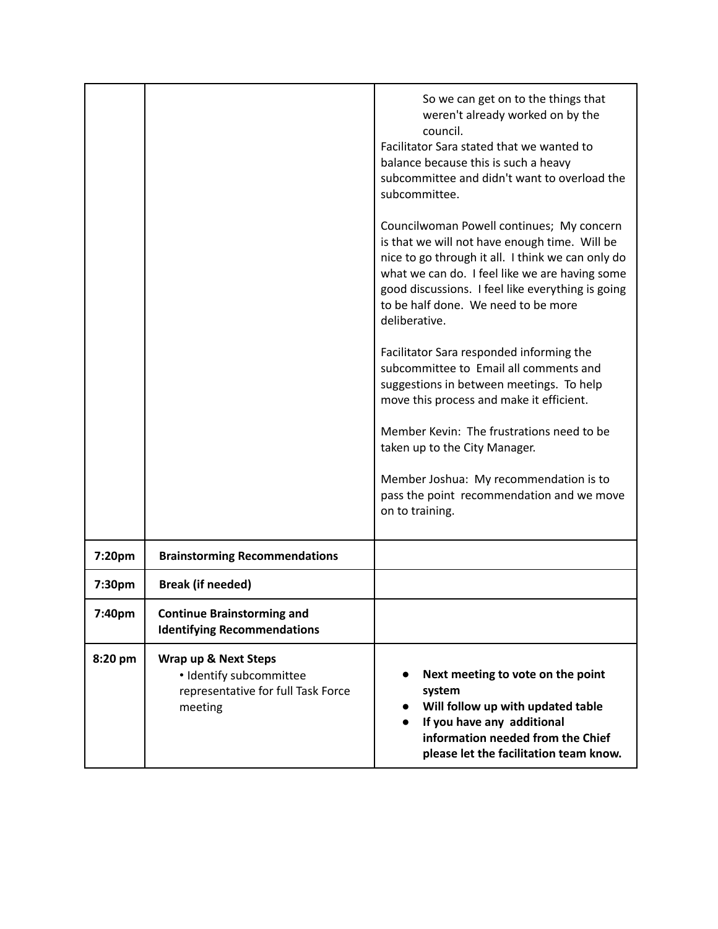|         |                                                                                                  | So we can get on to the things that<br>weren't already worked on by the<br>council.<br>Facilitator Sara stated that we wanted to<br>balance because this is such a heavy<br>subcommittee and didn't want to overload the<br>subcommittee.<br>Councilwoman Powell continues; My concern<br>is that we will not have enough time. Will be<br>nice to go through it all. I think we can only do<br>what we can do. I feel like we are having some<br>good discussions. I feel like everything is going<br>to be half done. We need to be more<br>deliberative.<br>Facilitator Sara responded informing the<br>subcommittee to Email all comments and<br>suggestions in between meetings. To help<br>move this process and make it efficient.<br>Member Kevin: The frustrations need to be<br>taken up to the City Manager.<br>Member Joshua: My recommendation is to<br>pass the point recommendation and we move<br>on to training. |
|---------|--------------------------------------------------------------------------------------------------|-----------------------------------------------------------------------------------------------------------------------------------------------------------------------------------------------------------------------------------------------------------------------------------------------------------------------------------------------------------------------------------------------------------------------------------------------------------------------------------------------------------------------------------------------------------------------------------------------------------------------------------------------------------------------------------------------------------------------------------------------------------------------------------------------------------------------------------------------------------------------------------------------------------------------------------|
| 7:20pm  | <b>Brainstorming Recommendations</b>                                                             |                                                                                                                                                                                                                                                                                                                                                                                                                                                                                                                                                                                                                                                                                                                                                                                                                                                                                                                                   |
| 7:30pm  | <b>Break (if needed)</b>                                                                         |                                                                                                                                                                                                                                                                                                                                                                                                                                                                                                                                                                                                                                                                                                                                                                                                                                                                                                                                   |
| 7:40pm  | <b>Continue Brainstorming and</b><br><b>Identifying Recommendations</b>                          |                                                                                                                                                                                                                                                                                                                                                                                                                                                                                                                                                                                                                                                                                                                                                                                                                                                                                                                                   |
| 8:20 pm | Wrap up & Next Steps<br>· Identify subcommittee<br>representative for full Task Force<br>meeting | Next meeting to vote on the point<br>system<br>Will follow up with updated table<br>If you have any additional<br>information needed from the Chief<br>please let the facilitation team know.                                                                                                                                                                                                                                                                                                                                                                                                                                                                                                                                                                                                                                                                                                                                     |